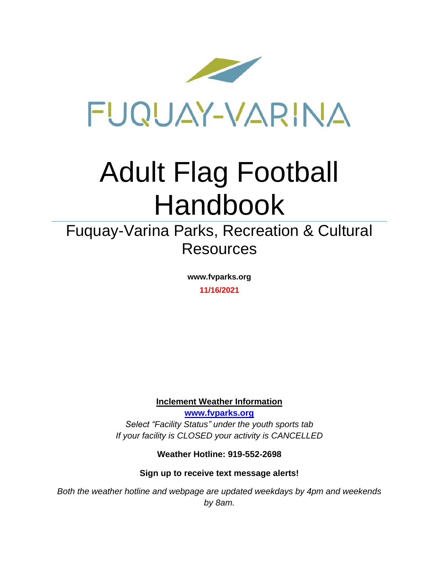

# Adult Flag Football Handbook

### Fuquay-Varina Parks, Recreation & Cultural Resources

**www.fvparks.org 11/16/2021**

**Inclement Weather Information**

**[www.fvparks.org](http://www.fvparks.org/)** *Select "Facility Status" under the youth sports tab If your facility is CLOSED your activity is CANCELLED*

**Weather Hotline: 919-552-2698**

**Sign up to receive text message alerts!**

*Both the weather hotline and webpage are updated weekdays by 4pm and weekends by 8am.*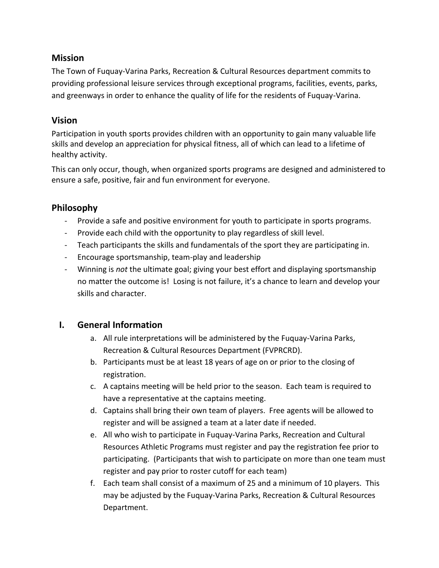#### **Mission**

The Town of Fuquay-Varina Parks, Recreation & Cultural Resources department commits to providing professional leisure services through exceptional programs, facilities, events, parks, and greenways in order to enhance the quality of life for the residents of Fuquay-Varina.

#### **Vision**

Participation in youth sports provides children with an opportunity to gain many valuable life skills and develop an appreciation for physical fitness, all of which can lead to a lifetime of healthy activity.

This can only occur, though, when organized sports programs are designed and administered to ensure a safe, positive, fair and fun environment for everyone.

#### **Philosophy**

- Provide a safe and positive environment for youth to participate in sports programs.
- Provide each child with the opportunity to play regardless of skill level.
- Teach participants the skills and fundamentals of the sport they are participating in.
- Encourage sportsmanship, team-play and leadership
- Winning is *not* the ultimate goal; giving your best effort and displaying sportsmanship no matter the outcome is! Losing is not failure, it's a chance to learn and develop your skills and character.

#### **I. General Information**

- a. All rule interpretations will be administered by the Fuquay-Varina Parks, Recreation & Cultural Resources Department (FVPRCRD).
- b. Participants must be at least 18 years of age on or prior to the closing of registration.
- c. A captains meeting will be held prior to the season. Each team is required to have a representative at the captains meeting.
- d. Captains shall bring their own team of players. Free agents will be allowed to register and will be assigned a team at a later date if needed.
- e. All who wish to participate in Fuquay-Varina Parks, Recreation and Cultural Resources Athletic Programs must register and pay the registration fee prior to participating. (Participants that wish to participate on more than one team must register and pay prior to roster cutoff for each team)
- f. Each team shall consist of a maximum of 25 and a minimum of 10 players. This may be adjusted by the Fuquay-Varina Parks, Recreation & Cultural Resources Department.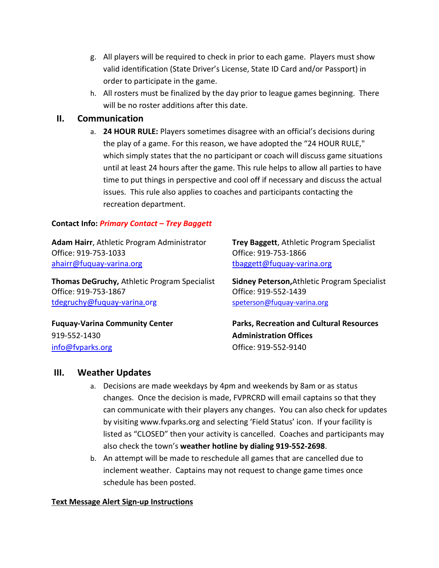- g. All players will be required to check in prior to each game. Players must show valid identification (State Driver's License, State ID Card and/or Passport) in order to participate in the game.
- h. All rosters must be finalized by the day prior to league games beginning. There will be no roster additions after this date.

#### **II. Communication**

a. **24 HOUR RULE:** Players sometimes disagree with an official's decisions during the play of a game. For this reason, we have adopted the "24 HOUR RULE," which simply states that the no participant or coach will discuss game situations until at least 24 hours after the game. This rule helps to allow all parties to have time to put things in perspective and cool off if necessary and discuss the actual issues. This rule also applies to coaches and participants contacting the recreation department.

#### **Contact Info:** *Primary Contact – Trey Baggett*

**Adam Hairr**, Athletic Program Administrator **Trey Baggett**, Athletic Program Specialist Office: 919-753-1033 Office: 919-753-1866 [ahairr@fuquay-varina.org](mailto:ahairr@fuquay-varina.org) discussed that the sense of the sense of the sense of the sense of the sense of the s

**Thomas DeGruchy,** Athletic Program Specialist **Sidney Peterson,**Athletic Program Specialist Office: 919-753-1867 Office: 919-552-1439 [tdegruchy@fuquay-varina.org](mailto:tdegruchy@fuquay-varina.org) <speterson@fuquay-varina.org>

**Fuquay-Varina Community Center Parks, Recreation and Cultural Resources**

919-552-1430 **Administration Offices** [info@fvparks.org](mailto:info@fvparks.org) Office: 919-552-9140

## **III. Weather Updates**

- a. Decisions are made weekdays by 4pm and weekends by 8am or as status changes. Once the decision is made, FVPRCRD will email captains so that they can communicate with their players any changes. You can also check for updates by visiting www.fvparks.org and selecting 'Field Status' icon. If your facility is listed as "CLOSED" then your activity is cancelled. Coaches and participants may also check the town's **weather hotline by dialing 919-552-2698**.
- b. An attempt will be made to reschedule all games that are cancelled due to inclement weather. Captains may not request to change game times once schedule has been posted.

#### **Text Message Alert Sign-up Instructions**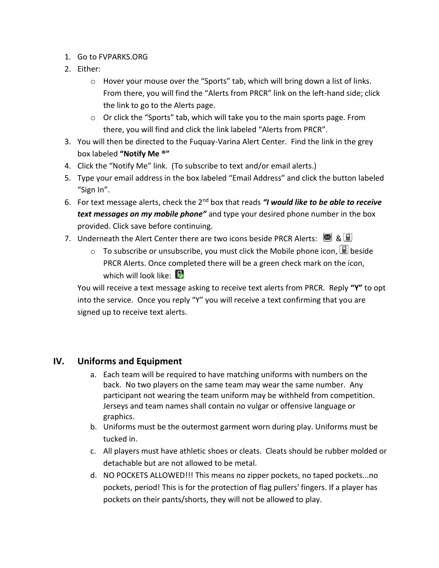- 1. Go to FVPARKS.ORG
- 2. Either:
	- $\circ$  Hover your mouse over the "Sports" tab, which will bring down a list of links. From there, you will find the "Alerts from PRCR" link on the left-hand side; click the link to go to the Alerts page.
	- o Or click the "Sports" tab, which will take you to the main sports page. From there, you will find and click the link labeled "Alerts from PRCR".
- 3. You will then be directed to the Fuquay-Varina Alert Center. Find the link in the grey box labeled **"Notify Me ®"**
- 4. Click the "Notify Me" link. (To subscribe to text and/or email alerts.)
- 5. Type your email address in the box labeled "Email Address" and click the button labeled "Sign In".
- 6. For text message alerts, check the 2nd box that reads *"I would like to be able to receive text messages on my mobile phone"* and type your desired phone number in the box provided. Click save before continuing.
- 7. Underneath the Alert Center there are two icons beside PRCR Alerts:  $\Box$  &  $\Box$ 
	- $\circ$  To subscribe or unsubscribe, you must click the Mobile phone icon,  $\Box$  beside PRCR Alerts. Once completed there will be a green check mark on the icon, which will look like:  $\mathbb{R}$

You will receive a text message asking to receive text alerts from PRCR. Reply **"Y"** to opt into the service. Once you reply "Y" you will receive a text confirming that you are signed up to receive text alerts.

#### **IV. Uniforms and Equipment**

- a. Each team will be required to have matching uniforms with numbers on the back. No two players on the same team may wear the same number. Any participant not wearing the team uniform may be withheld from competition. Jerseys and team names shall contain no vulgar or offensive language or graphics.
- b. Uniforms must be the outermost garment worn during play. Uniforms must be tucked in.
- c. All players must have athletic shoes or cleats. Cleats should be rubber molded or detachable but are not allowed to be metal.
- d. NO POCKETS ALLOWED!!! This means no zipper pockets, no taped pockets...no pockets, period! This is for the protection of flag pullers' fingers. If a player has pockets on their pants/shorts, they will not be allowed to play.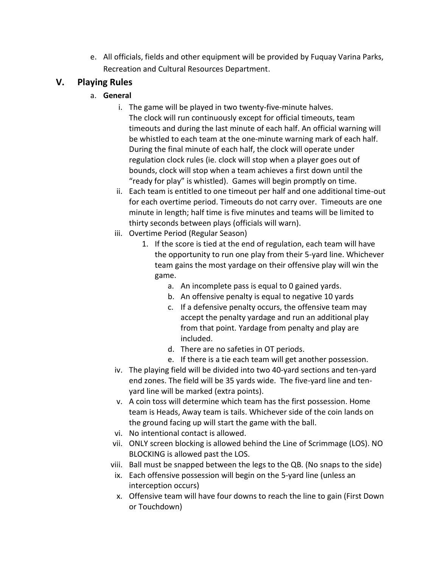e. All officials, fields and other equipment will be provided by Fuquay Varina Parks, Recreation and Cultural Resources Department.

#### **V. Playing Rules**

- a. **General**
	- i. The game will be played in two twenty-five-minute halves. The clock will run continuously except for official timeouts, team timeouts and during the last minute of each half. An official warning will be whistled to each team at the one-minute warning mark of each half. During the final minute of each half, the clock will operate under regulation clock rules (ie. clock will stop when a player goes out of bounds, clock will stop when a team achieves a first down until the "ready for play" is whistled). Games will begin promptly on time.
	- ii. Each team is entitled to one timeout per half and one additional time-out for each overtime period. Timeouts do not carry over. Timeouts are one minute in length; half time is five minutes and teams will be limited to thirty seconds between plays (officials will warn).
	- iii. Overtime Period (Regular Season)
		- 1. If the score is tied at the end of regulation, each team will have the opportunity to run one play from their 5-yard line. Whichever team gains the most yardage on their offensive play will win the game.
			- a. An incomplete pass is equal to 0 gained yards.
			- b. An offensive penalty is equal to negative 10 yards
			- c. If a defensive penalty occurs, the offensive team may accept the penalty yardage and run an additional play from that point. Yardage from penalty and play are included.
			- d. There are no safeties in OT periods.
			- e. If there is a tie each team will get another possession.
	- iv. The playing field will be divided into two 40-yard sections and ten-yard end zones. The field will be 35 yards wide. The five-yard line and tenyard line will be marked (extra points).
	- v. A coin toss will determine which team has the first possession. Home team is Heads, Away team is tails. Whichever side of the coin lands on the ground facing up will start the game with the ball.
	- vi. No intentional contact is allowed.
	- vii. ONLY screen blocking is allowed behind the Line of Scrimmage (LOS). NO BLOCKING is allowed past the LOS.
	- viii. Ball must be snapped between the legs to the QB. (No snaps to the side)
	- ix. Each offensive possession will begin on the 5-yard line (unless an interception occurs)
	- x. Offensive team will have four downs to reach the line to gain (First Down or Touchdown)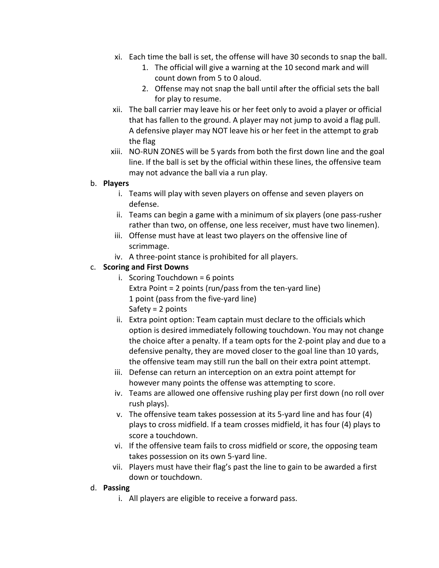- xi. Each time the ball is set, the offense will have 30 seconds to snap the ball.
	- 1. The official will give a warning at the 10 second mark and will count down from 5 to 0 aloud.
	- 2. Offense may not snap the ball until after the official sets the ball for play to resume.
- xii. The ball carrier may leave his or her feet only to avoid a player or official that has fallen to the ground. A player may not jump to avoid a flag pull. A defensive player may NOT leave his or her feet in the attempt to grab the flag
- xiii. NO-RUN ZONES will be 5 yards from both the first down line and the goal line. If the ball is set by the official within these lines, the offensive team may not advance the ball via a run play.

#### b. **Players**

- i. Teams will play with seven players on offense and seven players on defense.
- ii. Teams can begin a game with a minimum of six players (one pass-rusher rather than two, on offense, one less receiver, must have two linemen).
- iii. Offense must have at least two players on the offensive line of scrimmage.
- iv. A three-point stance is prohibited for all players.

#### c. **Scoring and First Downs**

- $i.$  Scoring Touchdown = 6 points Extra Point = 2 points (run/pass from the ten-yard line) 1 point (pass from the five-yard line) Safety = 2 points
- ii. Extra point option: Team captain must declare to the officials which option is desired immediately following touchdown. You may not change the choice after a penalty. If a team opts for the 2-point play and due to a defensive penalty, they are moved closer to the goal line than 10 yards, the offensive team may still run the ball on their extra point attempt.
- iii. Defense can return an interception on an extra point attempt for however many points the offense was attempting to score.
- iv. Teams are allowed one offensive rushing play per first down (no roll over rush plays).
- v. The offensive team takes possession at its 5-yard line and has four (4) plays to cross midfield. If a team crosses midfield, it has four (4) plays to score a touchdown.
- vi. If the offensive team fails to cross midfield or score, the opposing team takes possession on its own 5-yard line.
- vii. Players must have their flag's past the line to gain to be awarded a first down or touchdown.

#### d. **Passing**

i. All players are eligible to receive a forward pass.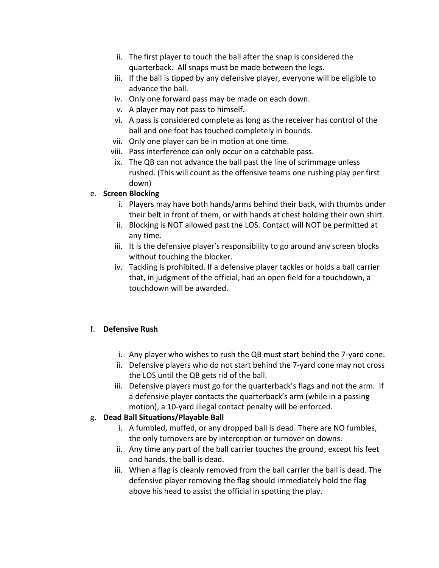- ii. The first player to touch the ball after the snap is considered the quarterback. All snaps must be made between the legs.
- iii. If the ball is tipped by any defensive player, everyone will be eligible to advance the ball.
- iv. Only one forward pass may be made on each down.
- v. A player may not pass to himself.
- vi. A pass is considered complete as long as the receiver has control of the ball and one foot has touched completely in bounds.
- vii. Only one player can be in motion at one time.
- viii. Pass interference can only occur on a catchable pass.
- ix. The QB can not advance the ball past the line of scrimmage unless rushed. (This will count as the offensive teams one rushing play per first down)

#### e. **Screen Blocking**

- i. Players may have both hands/arms behind their back, with thumbs under their belt in front of them, or with hands at chest holding their own shirt.
- ii. Blocking is NOT allowed past the LOS. Contact will NOT be permitted at any time.
- iii. It is the defensive player's responsibility to go around any screen blocks without touching the blocker.
- iv. Tackling is prohibited. If a defensive player tackles or holds a ball carrier that, in judgment of the official, had an open field for a touchdown, a touchdown will be awarded.

#### f. **Defensive Rush**

- i. Any player who wishes to rush the QB must start behind the 7-yard cone.
- ii. Defensive players who do not start behind the 7-yard cone may not cross the LOS until the QB gets rid of the ball.
- iii. Defensive players must go for the quarterback's flags and not the arm. If a defensive player contacts the quarterback's arm (while in a passing motion), a 10-yard illegal contact penalty will be enforced.

#### g. **Dead Ball Situations/Playable Ball**

- i. A fumbled, muffed, or any dropped ball is dead. There are NO fumbles, the only turnovers are by interception or turnover on downs.
- ii. Any time any part of the ball carrier touches the ground, except his feet and hands, the ball is dead.
- iii. When a flag is cleanly removed from the ball carrier the ball is dead. The defensive player removing the flag should immediately hold the flag above his head to assist the official in spotting the play.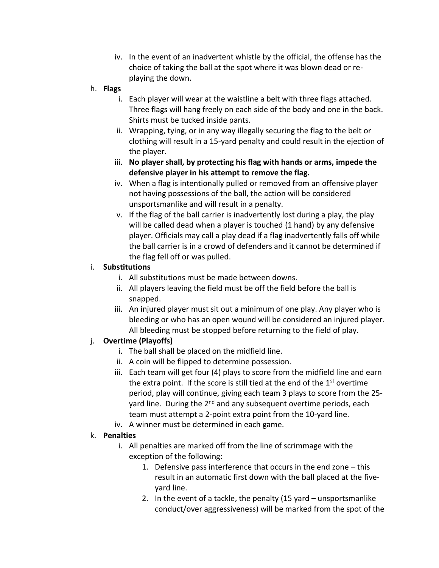- iv. In the event of an inadvertent whistle by the official, the offense has the choice of taking the ball at the spot where it was blown dead or replaying the down.
- h. **Flags**
	- i. Each player will wear at the waistline a belt with three flags attached. Three flags will hang freely on each side of the body and one in the back. Shirts must be tucked inside pants.
	- ii. Wrapping, tying, or in any way illegally securing the flag to the belt or clothing will result in a 15-yard penalty and could result in the ejection of the player.
	- iii. **No player shall, by protecting his flag with hands or arms, impede the defensive player in his attempt to remove the flag.**
	- iv. When a flag is intentionally pulled or removed from an offensive player not having possessions of the ball, the action will be considered unsportsmanlike and will result in a penalty.
	- v. If the flag of the ball carrier is inadvertently lost during a play, the play will be called dead when a player is touched (1 hand) by any defensive player. Officials may call a play dead if a flag inadvertently falls off while the ball carrier is in a crowd of defenders and it cannot be determined if the flag fell off or was pulled.

#### i. **Substitutions**

- i. All substitutions must be made between downs.
- ii. All players leaving the field must be off the field before the ball is snapped.
- iii. An injured player must sit out a minimum of one play. Any player who is bleeding or who has an open wound will be considered an injured player. All bleeding must be stopped before returning to the field of play.

#### j. **Overtime (Playoffs)**

- i. The ball shall be placed on the midfield line.
- ii. A coin will be flipped to determine possession.
- iii. Each team will get four (4) plays to score from the midfield line and earn the extra point. If the score is still tied at the end of the  $1<sup>st</sup>$  overtime period, play will continue, giving each team 3 plays to score from the 25 yard line. During the  $2^{nd}$  and any subsequent overtime periods, each team must attempt a 2-point extra point from the 10-yard line.
- iv. A winner must be determined in each game.

#### k. **Penalties**

- i. All penalties are marked off from the line of scrimmage with the exception of the following:
	- 1. Defensive pass interference that occurs in the end zone this result in an automatic first down with the ball placed at the fiveyard line.
	- 2. In the event of a tackle, the penalty (15 yard unsportsmanlike conduct/over aggressiveness) will be marked from the spot of the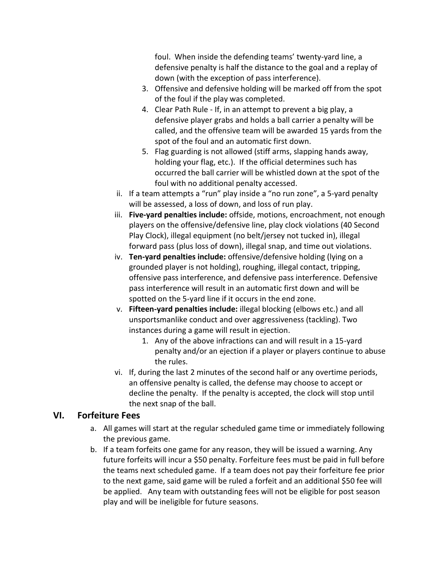foul. When inside the defending teams' twenty-yard line, a defensive penalty is half the distance to the goal and a replay of down (with the exception of pass interference).

- 3. Offensive and defensive holding will be marked off from the spot of the foul if the play was completed.
- 4. Clear Path Rule If, in an attempt to prevent a big play, a defensive player grabs and holds a ball carrier a penalty will be called, and the offensive team will be awarded 15 yards from the spot of the foul and an automatic first down.
- 5. Flag guarding is not allowed (stiff arms, slapping hands away, holding your flag, etc.). If the official determines such has occurred the ball carrier will be whistled down at the spot of the foul with no additional penalty accessed.
- ii. If a team attempts a "run" play inside a "no run zone", a 5-yard penalty will be assessed, a loss of down, and loss of run play.
- iii. **Five-yard penalties include:** offside, motions, encroachment, not enough players on the offensive/defensive line, play clock violations (40 Second Play Clock), illegal equipment (no belt/jersey not tucked in), illegal forward pass (plus loss of down), illegal snap, and time out violations.
- iv. **Ten-yard penalties include:** offensive/defensive holding (lying on a grounded player is not holding), roughing, illegal contact, tripping, offensive pass interference, and defensive pass interference. Defensive pass interference will result in an automatic first down and will be spotted on the 5-yard line if it occurs in the end zone.
- v. **Fifteen-yard penalties include:** illegal blocking (elbows etc.) and all unsportsmanlike conduct and over aggressiveness (tackling). Two instances during a game will result in ejection.
	- 1. Any of the above infractions can and will result in a 15-yard penalty and/or an ejection if a player or players continue to abuse the rules.
- vi. If, during the last 2 minutes of the second half or any overtime periods, an offensive penalty is called, the defense may choose to accept or decline the penalty. If the penalty is accepted, the clock will stop until the next snap of the ball.

#### **VI. Forfeiture Fees**

- a. All games will start at the regular scheduled game time or immediately following the previous game.
- b. If a team forfeits one game for any reason, they will be issued a warning. Any future forfeits will incur a \$50 penalty. Forfeiture fees must be paid in full before the teams next scheduled game. If a team does not pay their forfeiture fee prior to the next game, said game will be ruled a forfeit and an additional \$50 fee will be applied. Any team with outstanding fees will not be eligible for post season play and will be ineligible for future seasons.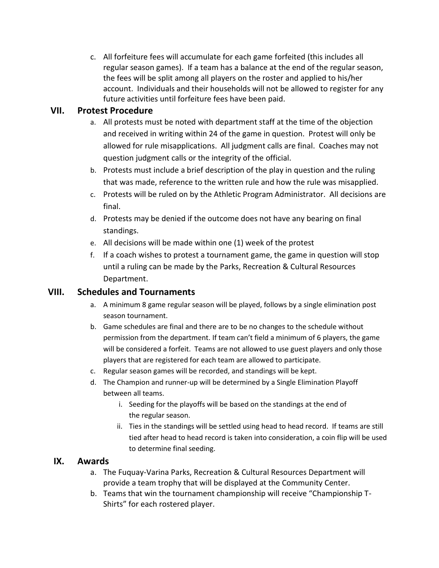c. All forfeiture fees will accumulate for each game forfeited (this includes all regular season games). If a team has a balance at the end of the regular season, the fees will be split among all players on the roster and applied to his/her account. Individuals and their households will not be allowed to register for any future activities until forfeiture fees have been paid.

#### **VII. Protest Procedure**

- a. All protests must be noted with department staff at the time of the objection and received in writing within 24 of the game in question. Protest will only be allowed for rule misapplications. All judgment calls are final. Coaches may not question judgment calls or the integrity of the official.
- b. Protests must include a brief description of the play in question and the ruling that was made, reference to the written rule and how the rule was misapplied.
- c. Protests will be ruled on by the Athletic Program Administrator. All decisions are final.
- d. Protests may be denied if the outcome does not have any bearing on final standings.
- e. All decisions will be made within one (1) week of the protest
- f. If a coach wishes to protest a tournament game, the game in question will stop until a ruling can be made by the Parks, Recreation & Cultural Resources Department.

#### **VIII. Schedules and Tournaments**

- a. A minimum 8 game regular season will be played, follows by a single elimination post season tournament.
- b. Game schedules are final and there are to be no changes to the schedule without permission from the department. If team can't field a minimum of 6 players, the game will be considered a forfeit. Teams are not allowed to use guest players and only those players that are registered for each team are allowed to participate.
- c. Regular season games will be recorded, and standings will be kept.
- d. The Champion and runner-up will be determined by a Single Elimination Playoff between all teams.
	- i. Seeding for the playoffs will be based on the standings at the end of the regular season.
	- ii. Ties in the standings will be settled using head to head record. If teams are still tied after head to head record is taken into consideration, a coin flip will be used to determine final seeding.

#### **IX. Awards**

- a. The Fuquay-Varina Parks, Recreation & Cultural Resources Department will provide a team trophy that will be displayed at the Community Center.
- b. Teams that win the tournament championship will receive "Championship T-Shirts" for each rostered player.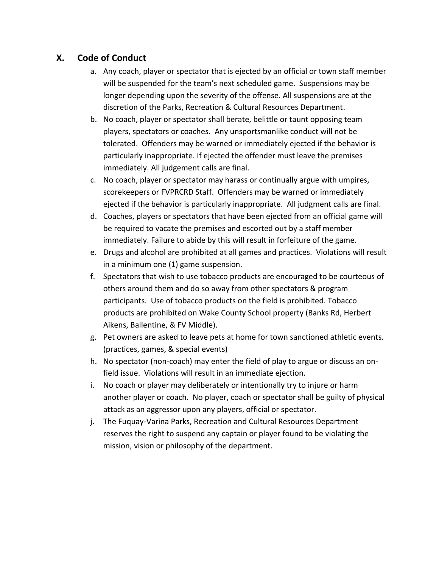#### **X. Code of Conduct**

- a. Any coach, player or spectator that is ejected by an official or town staff member will be suspended for the team's next scheduled game. Suspensions may be longer depending upon the severity of the offense. All suspensions are at the discretion of the Parks, Recreation & Cultural Resources Department.
- b. No coach, player or spectator shall berate, belittle or taunt opposing team players, spectators or coaches. Any unsportsmanlike conduct will not be tolerated. Offenders may be warned or immediately ejected if the behavior is particularly inappropriate. If ejected the offender must leave the premises immediately. All judgement calls are final.
- c. No coach, player or spectator may harass or continually argue with umpires, scorekeepers or FVPRCRD Staff. Offenders may be warned or immediately ejected if the behavior is particularly inappropriate. All judgment calls are final.
- d. Coaches, players or spectators that have been ejected from an official game will be required to vacate the premises and escorted out by a staff member immediately. Failure to abide by this will result in forfeiture of the game.
- e. Drugs and alcohol are prohibited at all games and practices. Violations will result in a minimum one (1) game suspension.
- f. Spectators that wish to use tobacco products are encouraged to be courteous of others around them and do so away from other spectators & program participants. Use of tobacco products on the field is prohibited. Tobacco products are prohibited on Wake County School property (Banks Rd, Herbert Aikens, Ballentine, & FV Middle).
- g. Pet owners are asked to leave pets at home for town sanctioned athletic events. (practices, games, & special events)
- h. No spectator (non-coach) may enter the field of play to argue or discuss an onfield issue. Violations will result in an immediate ejection.
- i. No coach or player may deliberately or intentionally try to injure or harm another player or coach. No player, coach or spectator shall be guilty of physical attack as an aggressor upon any players, official or spectator.
- j. The Fuquay-Varina Parks, Recreation and Cultural Resources Department reserves the right to suspend any captain or player found to be violating the mission, vision or philosophy of the department.